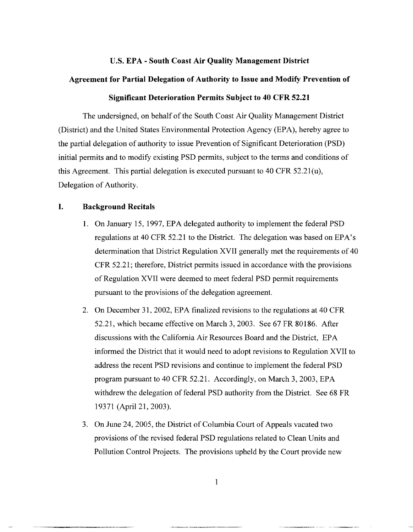#### **U.S. EPA** - **South Coast Air Quality Management District**

#### **Agreement for Partial Delegation of Authority to Issue and Modify Prevention of**

### **Significant Deterioration Permits Subject to 40 CFR 52.21**

The undersigned, on behalf of the South Coast Air Quality Management District (District) and the United States Environmental Protection Agency (EPA), hereby agree to the partial delegation of authority to issue Prevention of Significant Deterioration (PSD) initial permits and to modify existing PSD permits, subject to the terms and conditions of this Agreement. This partial delegation is executed pursuant to 40 CFR  $52.21(u)$ , Delegation of Authority.

### **I. Background Recitals**

- 1. On January 15, 1997, EPA delegated authority to implement the federal PSD regulations at 40 CFR 52.21 to the District. The delegation was based on EPA's determination that District Regulation XVII generally met the requirements of 40 CFR 52.21; therefore, District permits issued in accordance with the provisions of Regulation XVII were deemed to meet federal PSD permit requirements pursuant to the provisions of the delegation agreement.
- 2. On December 31, 2002, EPA finalized revisions to the regulations at 40 CFR 52.21, which became effective on March 3, 2003. See 67 FR 80186. After discussions with the California Air Resources Board and the District, EPA informed the District that it would need to adopt revisions to Regulation XVII to address the recent PSD revisions and continue to implement the federal PSD program pursuant to 40 CFR 52.21. Accordingly, on March 3, 2003, EPA withdrew the delegation of federal PSD authority from the District. See 68 FR 19371 (April 21, 2003).
- 3. On June 24, 2005, the District of Columbia Court of Appeals vacated two provisions of the revised federal PSD regulations related to Clean Units and Pollution Control Projects. The provisions upheld by the Court provide new

1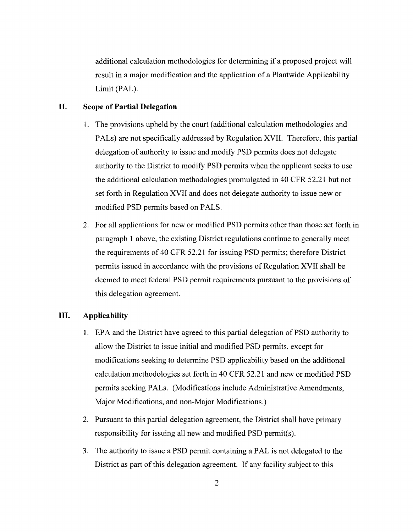additional calculation methodologies for determining if a proposed project will result in a major modification and the application of a Plantwide Applicability Limit (PAL).

## **II. Scope of Partial Delegation**

- 1. The provisions upheld by the court ( additional calculation methodologies and PALs) are not specifically addressed by Regulation XVII. Therefore, this partial delegation of authority to issue and modify PSD permits does not delegate authority to the District to modify PSD permits when the applicant seeks to use the additional calculation methodologies promulgated in 40 CFR 52.21 but not set forth in Regulation XVII and does not delegate authority to issue new or modified PSD permits based on PALS.
- 2. For all applications for new or modified PSD permits other than those set forth in paragraph 1 above, the existing District regulations continue to generally meet the requirements of 40 CFR 52.21 for issuing PSD permits; therefore District permits issued in accordance with the provisions of Regulation XVII shall be deemed to meet federal PSD permit requirements pursuant to the provisions of this delegation agreement.

## **III. Applicability**

- 1. EPA and the District have agreed to this partial delegation of PSD authority to allow the District to issue initial and modified PSD permits, except for modifications seeking to determine PSD applicability based on the additional calculation methodologies set forth in 40 CFR 52.21 and new or modified PSD permits seeking PALs. (Modifications include Administrative Amendments, Major Modifications, and non-Major Modifications.)
- 2. Pursuant to this partial delegation agreement, the District shall have primary responsibility for issuing all new and modified PSD permit(s).
- 3. The authority to issue a PSD permit containing a PAL is not delegated to the District as part of this delegation agreement. If any facility subject to this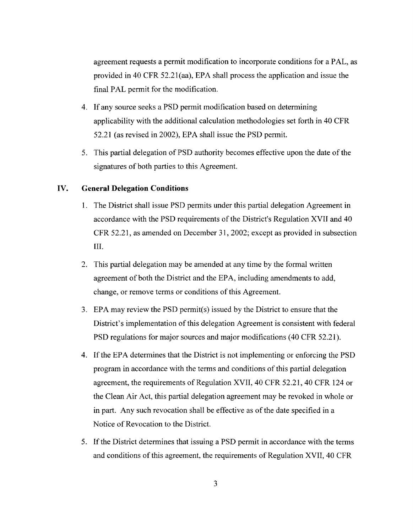agreement requests a permit modification to incorporate conditions for a PAL, as provided in 40 CFR 52.2l(aa), EPA shall process the application and issue the final PAL permit for the modification.

- 4. If any source seeks a PSD permit modification based on determining applicability with the additional calculation methodologies set forth in 40 CFR 52.21 (as revised in 2002), EPA shall issue the PSD permit.
- 5. This partial delegation of PSD authority becomes effective upon the date of the signatures of both parties to this Agreement.

### **IV. General Delegation Conditions**

- 1. The District shall issue PSD permits under this partial delegation Agreement in accordance with the PSD requirements of the District's Regulation XVII and 40 CFR 52.21, as amended on December 31, 2002; except as provided in subsection III.
- 2. This partial delegation may be amended at any time by the formal written agreement of both the District and the EPA, including amendments to add, change, or remove terms or conditions of this Agreement.
- 3. EPA may review the PSD permit( s) issued by the District to ensure that the District's implementation of this delegation Agreement is consistent with federal PSD regulations for major sources and major modifications (40 CFR 52.21).
- 4. If the EPA determines that the District is not implementing or enforcing the PSD program in accordance with the terms and conditions of this partial delegation agreement, the requirements of Regulation XVII, 40 CFR 52.21, 40 CFR 124 or the Clean Air Act, this partial delegation agreement may be revoked in whole or in part. Any such revocation shall be effective as of the date specified in a Notice of Revocation to the District.
- 5. If the District determines that issuing a PSD permit in accordance with the terms and conditions of this agreement, the requirements of Regulation XVII, 40 CFR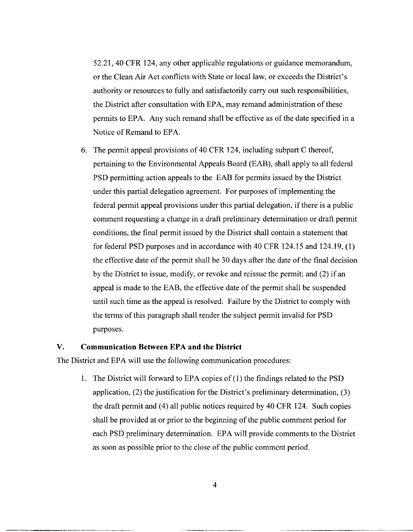52.21, 40 CFR 124, any other applicable regulations or guidance memorandum, or the Clean Air Act conflicts with State or local law, or exceeds the District's authority or resources to fully and satisfactorily carry out such responsibilities, the District after consultation with EPA, may remand administration of these permits to EPA. Any such remand shall be effective as of the date specified in a Notice of Remand to EPA.

6. The permit appeal provisions of 40 CFR 124, including subpart C thereof, pertaining to the Environmental Appeals Board (EAB), shall apply to all federal PSD permitting action appeals to the EAB for permits issued by the District under this partial delegation agreement. For purposes of implementing the federal permit appeal provisions under this partial delegation, if there is a public comment requesting a change in a draft preliminary determination or draft permit conditions, the final permit issued by the District shall contain a statement that for federal PSD purposes and in accordance with 40 CFR 124.15 and 124.19, (1) the effective date of the permit shall be 30 days after the date of the final decision by the District to issue, modify, or revoke and reissue the permit; and (2) if an appeal is made to the EAB, the effective date of the permit shall be suspended until such time as the appeal is resolved. Failure by the District to comply with the terms of this paragraph shall render the subject permit invalid for PSD purposes.

#### **V. Communication Between EPA and the District**

The District and EPA will use the following communication procedures:

1. The District will forward to EPA copies of ( 1) the findings related to the PSD application, (2) the justification for the District's preliminary determination, (3) the draft permit and (4) all public notices required by 40 CFR 124. Such copies shall be provided at or prior to the beginning of the public comment period for each PSD preliminary determination. EPA will provide comments to the District as soon as possible prior to the close of the public comment period.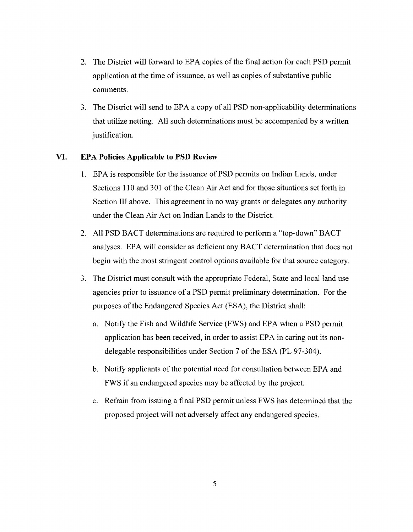- 2. The District will forward to EPA copies of the final action for each PSD permit application at the time of issuance, as well as copies of substantive public comments.
- 3. The District will send to EPA a copy of all PSD non-applicability determinations that utilize netting. All such determinations must be accompanied by a written justification.

### **VI. EPA Policies Applicable to PSD Review**

- 1. EPA is responsible for the issuance of PSD permits on Indian Lands, under Sections 110 and 301 of the Clean Air Act and for those situations set forth in Section III above. This agreement in no way grants or delegates any authority under the Clean Air Act on Indian Lands to the District.
- 2. All PSD BACT determinations are required to perform a "top-down" BACT analyses. EPA will consider as deficient any BACT determination that does not begin with the most stringent control options available for that source category.
- 3. The District must consult with the appropriate Federal, State and local land use agencies prior to issuance of a PSD permit preliminary determination. For the purposes of the Endangered Species Act (ESA), the District shall:
	- a. Notify the Fish and Wildlife Service (FWS) and EPA when a PSD permit application has been received, in order to assist EPA in caring out its nondelegable responsibilities under Section 7 of the ESA (PL 97-304).
	- b. Notify applicants of the potential need for consultation between EPA and FWS if an endangered species may be affected by the project.
	- c. Refrain from issuing a final PSD permit unless FWS has determined that the proposed project will not adversely affect any endangered species.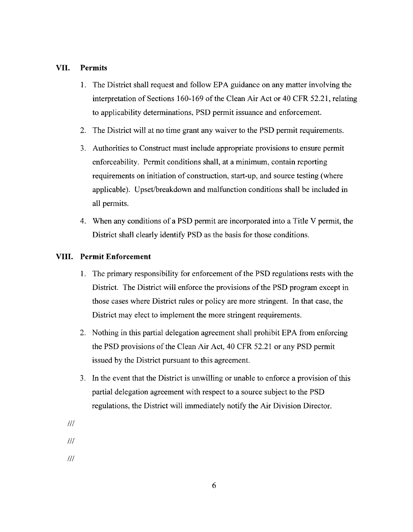# **VII. Permits**

- **1.** The District shall request and follow EPA guidance on any matter involving the interpretation of Sections 160-169 of the Clean Air Act or 40 CFR 52.21, relating to applicability determinations, PSD permit issuance and enforcement.
- 2. The District will at no time grant any waiver to the PSD permit requirements.
- 3. Authorities to Construct must include appropriate provisions to ensure permit enforceability. Permit conditions shall, at a minimum, contain reporting requirements on initiation of construction, start-up, and source testing (where applicable). Upset/breakdown and malfunction conditions shall be included in all permits.
- 4. When any conditions of a PSD permit are incorporated into a Title V permit, the District shall clearly identify PSD as the basis for those conditions.

### **VIII. Permit Enforcement**

- 1. The primary responsibility for enforcement of the PSD regulations rests with the District. The District will enforce the provisions of the PSD program except in those cases where District rules or policy are more stringent. In that case, the District may elect to implement the more stringent requirements.
- 2. Nothing in this partial delegation agreement shall prohibit EPA from enforcing the PSD provisions of the Clean Air Act, 40 CFR 52.21 or any PSD permit issued by the District pursuant to this agreement.
- 3. In the event that the District is unwilling or unable to enforce a provision of this partial delegation agreement with respect to a source subject to the PSD regulations, the District will immediately notify the Air Division Director.
- Ill
- Ill
- Ill